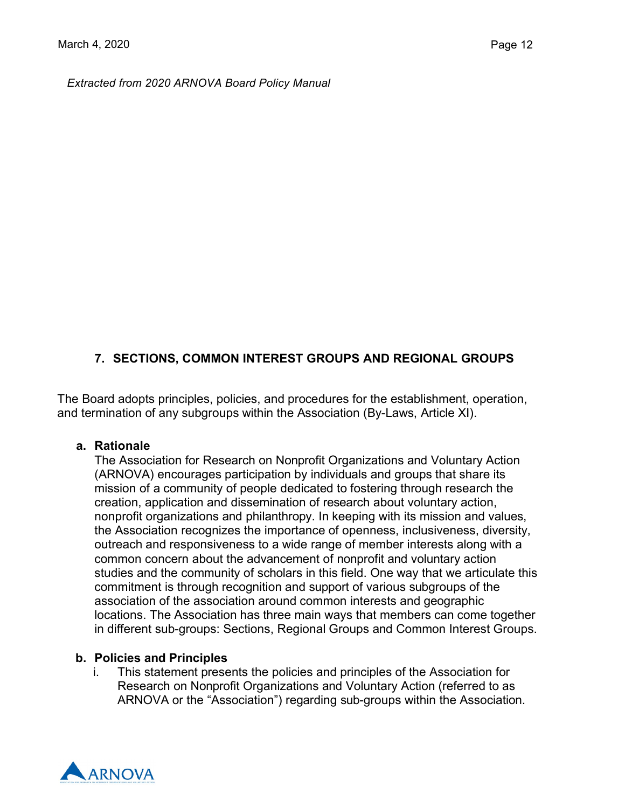*Extracted from 2020 ARNOVA Board Policy Manual*

## **7. SECTIONS, COMMON INTEREST GROUPS AND REGIONAL GROUPS**

The Board adopts principles, policies, and procedures for the establishment, operation, and termination of any subgroups within the Association (By-Laws, Article XI).

#### **a. Rationale**

The Association for Research on Nonprofit Organizations and Voluntary Action (ARNOVA) encourages participation by individuals and groups that share its mission of a community of people dedicated to fostering through research the creation, application and dissemination of research about voluntary action, nonprofit organizations and philanthropy. In keeping with its mission and values, the Association recognizes the importance of openness, inclusiveness, diversity, outreach and responsiveness to a wide range of member interests along with a common concern about the advancement of nonprofit and voluntary action studies and the community of scholars in this field. One way that we articulate this commitment is through recognition and support of various subgroups of the association of the association around common interests and geographic locations. The Association has three main ways that members can come together in different sub-groups: Sections, Regional Groups and Common Interest Groups.

#### **b. Policies and Principles**

i. This statement presents the policies and principles of the Association for Research on Nonprofit Organizations and Voluntary Action (referred to as ARNOVA or the "Association") regarding sub-groups within the Association.

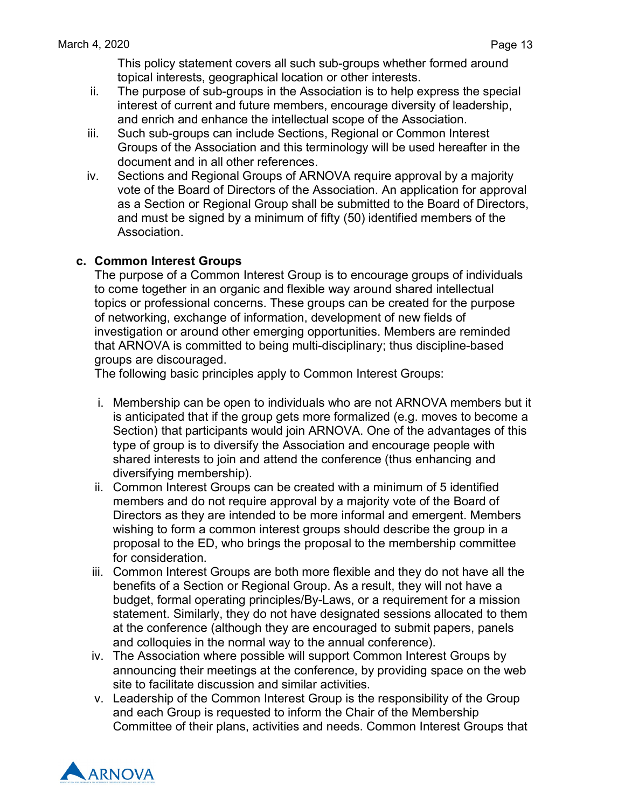This policy statement covers all such sub-groups whether formed around topical interests, geographical location or other interests.

- ii. The purpose of sub-groups in the Association is to help express the special interest of current and future members, encourage diversity of leadership, and enrich and enhance the intellectual scope of the Association.
- iii. Such sub-groups can include Sections, Regional or Common Interest Groups of the Association and this terminology will be used hereafter in the document and in all other references.
- iv. Sections and Regional Groups of ARNOVA require approval by a majority vote of the Board of Directors of the Association. An application for approval as a Section or Regional Group shall be submitted to the Board of Directors, and must be signed by a minimum of fifty (50) identified members of the Association.

### **c. Common Interest Groups**

The purpose of a Common Interest Group is to encourage groups of individuals to come together in an organic and flexible way around shared intellectual topics or professional concerns. These groups can be created for the purpose of networking, exchange of information, development of new fields of investigation or around other emerging opportunities. Members are reminded that ARNOVA is committed to being multi-disciplinary; thus discipline-based groups are discouraged.

The following basic principles apply to Common Interest Groups:

- i. Membership can be open to individuals who are not ARNOVA members but it is anticipated that if the group gets more formalized (e.g. moves to become a Section) that participants would join ARNOVA. One of the advantages of this type of group is to diversify the Association and encourage people with shared interests to join and attend the conference (thus enhancing and diversifying membership).
- ii. Common Interest Groups can be created with a minimum of 5 identified members and do not require approval by a majority vote of the Board of Directors as they are intended to be more informal and emergent. Members wishing to form a common interest groups should describe the group in a proposal to the ED, who brings the proposal to the membership committee for consideration.
- iii. Common Interest Groups are both more flexible and they do not have all the benefits of a Section or Regional Group. As a result, they will not have a budget, formal operating principles/By-Laws, or a requirement for a mission statement. Similarly, they do not have designated sessions allocated to them at the conference (although they are encouraged to submit papers, panels and colloquies in the normal way to the annual conference).
- iv. The Association where possible will support Common Interest Groups by announcing their meetings at the conference, by providing space on the web site to facilitate discussion and similar activities.
- v. Leadership of the Common Interest Group is the responsibility of the Group and each Group is requested to inform the Chair of the Membership Committee of their plans, activities and needs. Common Interest Groups that

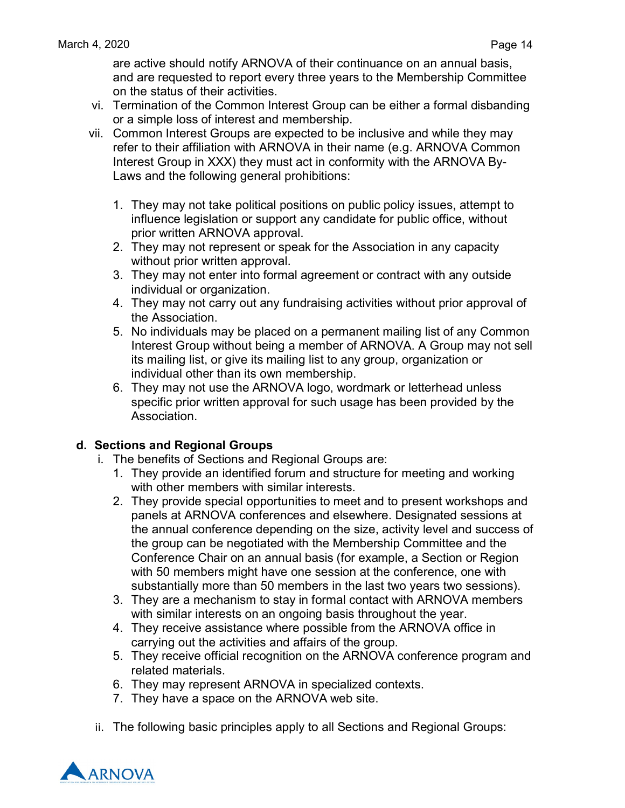are active should notify ARNOVA of their continuance on an annual basis, and are requested to report every three years to the Membership Committee on the status of their activities.

- vi. Termination of the Common Interest Group can be either a formal disbanding or a simple loss of interest and membership.
- vii. Common Interest Groups are expected to be inclusive and while they may refer to their affiliation with ARNOVA in their name (e.g. ARNOVA Common Interest Group in XXX) they must act in conformity with the ARNOVA By-Laws and the following general prohibitions:
	- 1. They may not take political positions on public policy issues, attempt to influence legislation or support any candidate for public office, without prior written ARNOVA approval.
	- 2. They may not represent or speak for the Association in any capacity without prior written approval.
	- 3. They may not enter into formal agreement or contract with any outside individual or organization.
	- 4. They may not carry out any fundraising activities without prior approval of the Association.
	- 5. No individuals may be placed on a permanent mailing list of any Common Interest Group without being a member of ARNOVA. A Group may not sell its mailing list, or give its mailing list to any group, organization or individual other than its own membership.
	- 6. They may not use the ARNOVA logo, wordmark or letterhead unless specific prior written approval for such usage has been provided by the Association.

# **d. Sections and Regional Groups**

- i. The benefits of Sections and Regional Groups are:
	- 1. They provide an identified forum and structure for meeting and working with other members with similar interests.
	- 2. They provide special opportunities to meet and to present workshops and panels at ARNOVA conferences and elsewhere. Designated sessions at the annual conference depending on the size, activity level and success of the group can be negotiated with the Membership Committee and the Conference Chair on an annual basis (for example, a Section or Region with 50 members might have one session at the conference, one with substantially more than 50 members in the last two years two sessions).
	- 3. They are a mechanism to stay in formal contact with ARNOVA members with similar interests on an ongoing basis throughout the year.
	- 4. They receive assistance where possible from the ARNOVA office in carrying out the activities and affairs of the group.
	- 5. They receive official recognition on the ARNOVA conference program and related materials.
	- 6. They may represent ARNOVA in specialized contexts.
	- 7. They have a space on the ARNOVA web site.
- ii. The following basic principles apply to all Sections and Regional Groups:

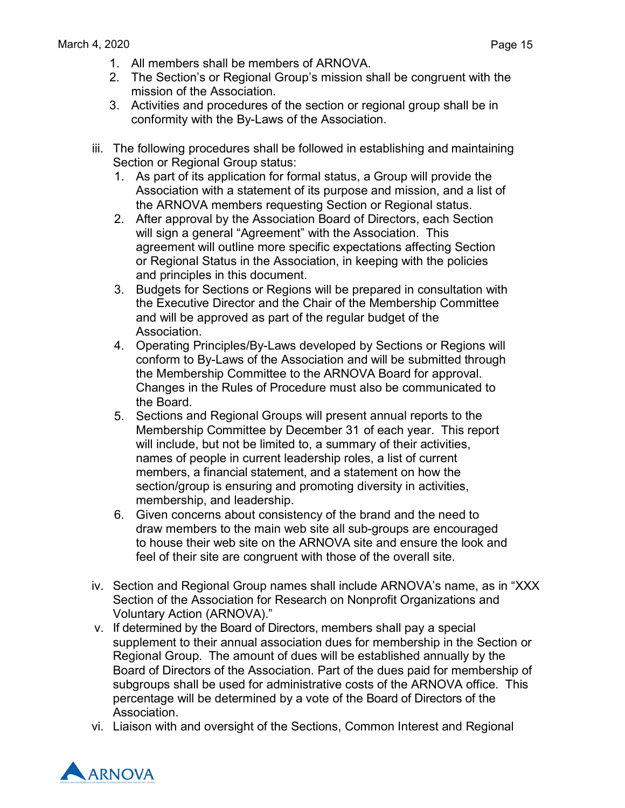- 1. All members shall be members of ARNOVA.
- 2. The Section's or Regional Group's mission shall be congruent with the mission of the Association.
- 3. Activities and procedures of the section or regional group shall be in conformity with the By-Laws of the Association.
- iii. The following procedures shall be followed in establishing and maintaining Section or Regional Group status:
	- 1. As part of its application for formal status, a Group will provide the Association with a statement of its purpose and mission, and a list of the ARNOVA members requesting Section or Regional status.
	- 2. After approval by the Association Board of Directors, each Section will sign a general "Agreement" with the Association. This agreement will outline more specific expectations affecting Section or Regional Status in the Association, in keeping with the policies and principles in this document.
	- 3. Budgets for Sections or Regions will be prepared in consultation with the Executive Director and the Chair of the Membership Committee and will be approved as part of the regular budget of the Association.
	- 4. Operating Principles/By-Laws developed by Sections or Regions will conform to By-Laws of the Association and will be submitted through the Membership Committee to the ARNOVA Board for approval. Changes in the Rules of Procedure must also be communicated to the Board.
	- 5. Sections and Regional Groups will present annual reports to the Membership Committee by December 31 of each year. This report will include, but not be limited to, a summary of their activities, names of people in current leadership roles, a list of current members, a financial statement, and a statement on how the section/group is ensuring and promoting diversity in activities, membership, and leadership.
	- 6. Given concerns about consistency of the brand and the need to draw members to the main web site all sub-groups are encouraged to house their web site on the ARNOVA site and ensure the look and feel of their site are congruent with those of the overall site.
- iv. Section and Regional Group names shall include ARNOVA's name, as in "XXX Section of the Association for Research on Nonprofit Organizations and Voluntary Action (ARNOVA)."
- v. If determined by the Board of Directors, members shall pay a special supplement to their annual association dues for membership in the Section or Regional Group. The amount of dues will be established annually by the Board of Directors of the Association. Part of the dues paid for membership of subgroups shall be used for administrative costs of the ARNOVA office. This percentage will be determined by a vote of the Board of Directors of the Association.
- vi. Liaison with and oversight of the Sections, Common Interest and Regional